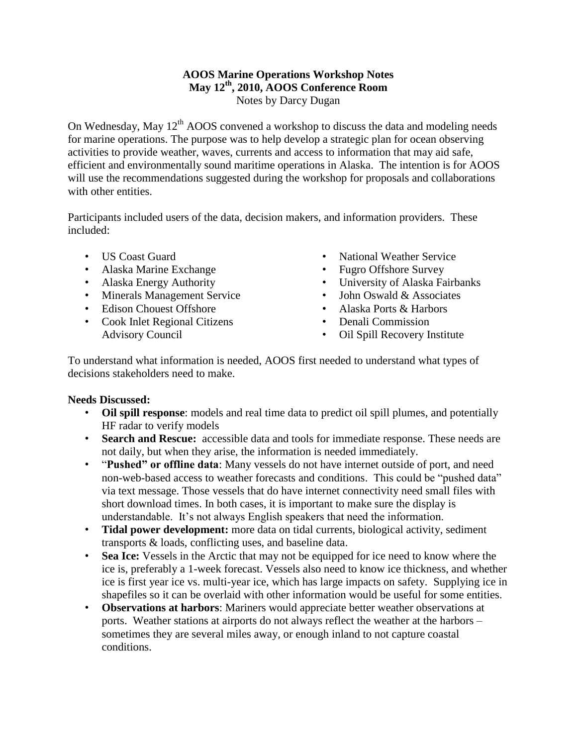#### **AOOS Marine Operations Workshop Notes May 12th, 2010, AOOS Conference Room** Notes by Darcy Dugan

On Wednesday, May  $12<sup>th</sup>$  AOOS convened a workshop to discuss the data and modeling needs for marine operations. The purpose was to help develop a strategic plan for ocean observing activities to provide weather, waves, currents and access to information that may aid safe, efficient and environmentally sound maritime operations in Alaska. The intention is for AOOS will use the recommendations suggested during the workshop for proposals and collaborations with other entities.

Participants included users of the data, decision makers, and information providers. These included:

- US Coast Guard
- Alaska Marine Exchange
- Alaska Energy Authority
- Minerals Management Service
- Edison Chouest Offshore
- Cook Inlet Regional Citizens Advisory Council
- National Weather Service
- Fugro Offshore Survey
- University of Alaska Fairbanks
- John Oswald & Associates
- Alaska Ports & Harbors
- Denali Commission
- Oil Spill Recovery Institute

To understand what information is needed, AOOS first needed to understand what types of decisions stakeholders need to make.

#### **Needs Discussed:**

- **Oil spill response**: models and real time data to predict oil spill plumes, and potentially HF radar to verify models
- **Search and Rescue:** accessible data and tools for immediate response. These needs are not daily, but when they arise, the information is needed immediately.
- "**Pushed" or offline data**: Many vessels do not have internet outside of port, and need non-web-based access to weather forecasts and conditions. This could be "pushed data" via text message. Those vessels that do have internet connectivity need small files with short download times. In both cases, it is important to make sure the display is understandable. It's not always English speakers that need the information.
- **Tidal power development:** more data on tidal currents, biological activity, sediment transports & loads, conflicting uses, and baseline data.
- **Sea Ice:** Vessels in the Arctic that may not be equipped for ice need to know where the ice is, preferably a 1-week forecast. Vessels also need to know ice thickness, and whether ice is first year ice vs. multi-year ice, which has large impacts on safety. Supplying ice in shapefiles so it can be overlaid with other information would be useful for some entities.
- **Observations at harbors**: Mariners would appreciate better weather observations at ports. Weather stations at airports do not always reflect the weather at the harbors – sometimes they are several miles away, or enough inland to not capture coastal conditions.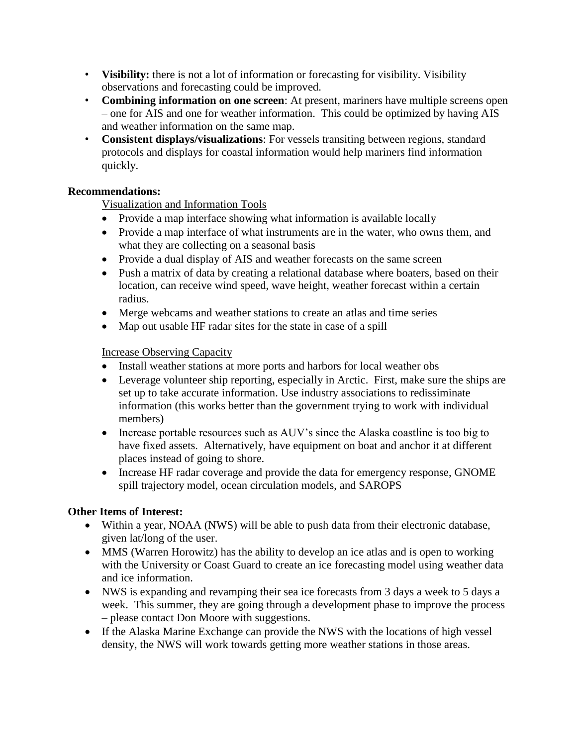- **Visibility:** there is not a lot of information or forecasting for visibility. Visibility observations and forecasting could be improved.
- **Combining information on one screen**: At present, mariners have multiple screens open – one for AIS and one for weather information. This could be optimized by having AIS and weather information on the same map.
- **Consistent displays/visualizations**: For vessels transiting between regions, standard protocols and displays for coastal information would help mariners find information quickly.

### **Recommendations:**

Visualization and Information Tools

- Provide a map interface showing what information is available locally
- Provide a map interface of what instruments are in the water, who owns them, and what they are collecting on a seasonal basis
- Provide a dual display of AIS and weather forecasts on the same screen
- Push a matrix of data by creating a relational database where boaters, based on their location, can receive wind speed, wave height, weather forecast within a certain radius.
- Merge webcams and weather stations to create an atlas and time series
- Map out usable HF radar sites for the state in case of a spill

#### Increase Observing Capacity

- Install weather stations at more ports and harbors for local weather obs
- Leverage volunteer ship reporting, especially in Arctic. First, make sure the ships are set up to take accurate information. Use industry associations to redissiminate information (this works better than the government trying to work with individual members)
- Increase portable resources such as AUV's since the Alaska coastline is too big to have fixed assets. Alternatively, have equipment on boat and anchor it at different places instead of going to shore.
- Increase HF radar coverage and provide the data for emergency response, GNOME spill trajectory model, ocean circulation models, and SAROPS

## **Other Items of Interest:**

- Within a year, NOAA (NWS) will be able to push data from their electronic database, given lat/long of the user.
- MMS (Warren Horowitz) has the ability to develop an ice atlas and is open to working with the University or Coast Guard to create an ice forecasting model using weather data and ice information.
- NWS is expanding and revamping their sea ice forecasts from 3 days a week to 5 days a week. This summer, they are going through a development phase to improve the process – please contact Don Moore with suggestions.
- If the Alaska Marine Exchange can provide the NWS with the locations of high vessel density, the NWS will work towards getting more weather stations in those areas.